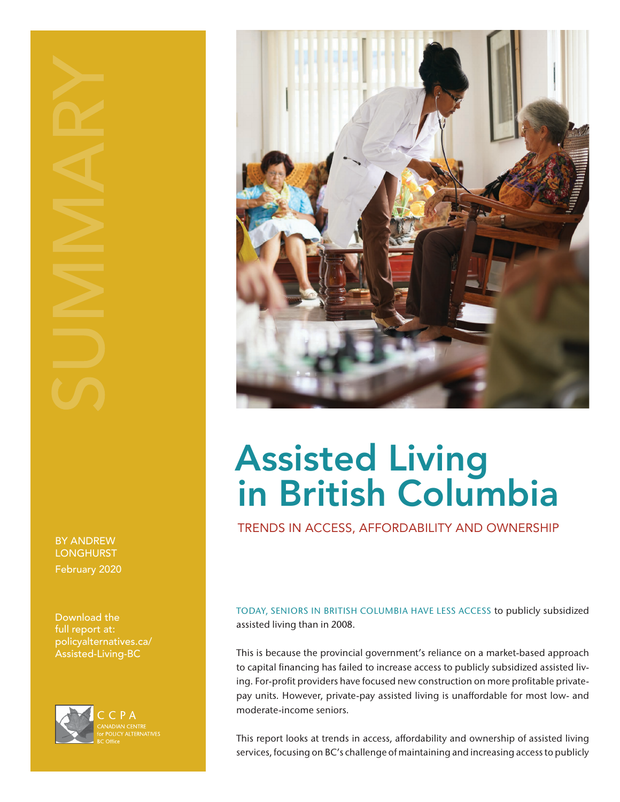BY ANDREW **LONGHURST** February 2020

Download the full report at: [policyalternatives.ca/](http://policyalternatives.ca/Assisted-Living-BC) [Assisted-Living-BC](http://policyalternatives.ca/Assisted-Living-BC)





# Assisted Living in British Columbia

TRENDS IN ACCESS, AFFORDABILITY AND OWNERSHIP

TODAY, SENIORS IN BRITISH COLUMBIA HAVE LESS ACCESS to publicly subsidized assisted living than in 2008.

This is because the provincial government's reliance on a market-based approach to capital financing has failed to increase access to publicly subsidized assisted living. For-profit providers have focused new construction on more profitable privatepay units. However, private-pay assisted living is unaffordable for most low- and moderate-income seniors.

This report looks at trends in access, affordability and ownership of assisted living services, focusing on BC's challenge of maintaining and increasing access to publicly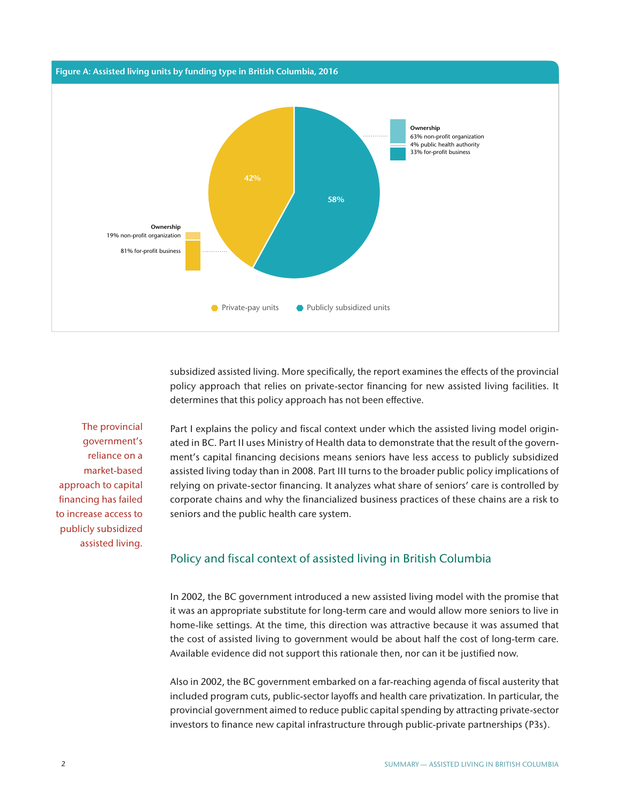

subsidized assisted living. More specifically, the report examines the effects of the provincial policy approach that relies on private-sector financing for new assisted living facilities. It determines that this policy approach has not been effective.

The provincial government's reliance on a market-based approach to capital financing has failed to increase access to publicly subsidized assisted living.

Part I explains the policy and fiscal context under which the assisted living model originated in BC. Part II uses Ministry of Health data to demonstrate that the result of the government's capital financing decisions means seniors have less access to publicly subsidized assisted living today than in 2008. Part III turns to the broader public policy implications of relying on private-sector financing. It analyzes what share of seniors' care is controlled by corporate chains and why the financialized business practices of these chains are a risk to seniors and the public health care system.

## Policy and fiscal context of assisted living in British Columbia

In 2002, the BC government introduced a new assisted living model with the promise that it was an appropriate substitute for long-term care and would allow more seniors to live in home-like settings. At the time, this direction was attractive because it was assumed that the cost of assisted living to government would be about half the cost of long-term care. Available evidence did not support this rationale then, nor can it be justified now.

Also in 2002, the BC government embarked on a far-reaching agenda of fiscal austerity that included program cuts, public-sector layoffs and health care privatization. In particular, the provincial government aimed to reduce public capital spending by attracting private-sector investors to finance new capital infrastructure through public-private partnerships (P3s).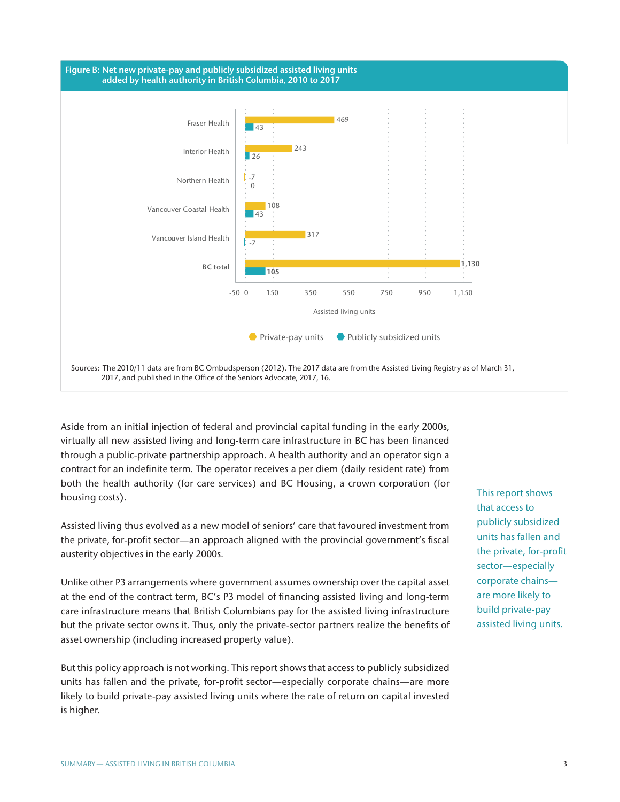

Aside from an initial injection of federal and provincial capital funding in the early 2000s, virtually all new assisted living and long-term care infrastructure in BC has been financed through a public-private partnership approach. A health authority and an operator sign a contract for an indefinite term. The operator receives a per diem (daily resident rate) from both the health authority (for care services) and BC Housing, a crown corporation (for housing costs).

Assisted living thus evolved as a new model of seniors' care that favoured investment from the private, for-profit sector—an approach aligned with the provincial government's fiscal austerity objectives in the early 2000s.

Unlike other P3 arrangements where government assumes ownership over the capital asset at the end of the contract term, BC's P3 model of financing assisted living and long-term care infrastructure means that British Columbians pay for the assisted living infrastructure but the private sector owns it. Thus, only the private-sector partners realize the benefits of asset ownership (including increased property value).

But this policy approach is not working. This report shows that access to publicly subsidized units has fallen and the private, for-profit sector—especially corporate chains—are more likely to build private-pay assisted living units where the rate of return on capital invested is higher.

This report shows that access to publicly subsidized units has fallen and the private, for-profit sector—especially corporate chains are more likely to build private-pay assisted living units.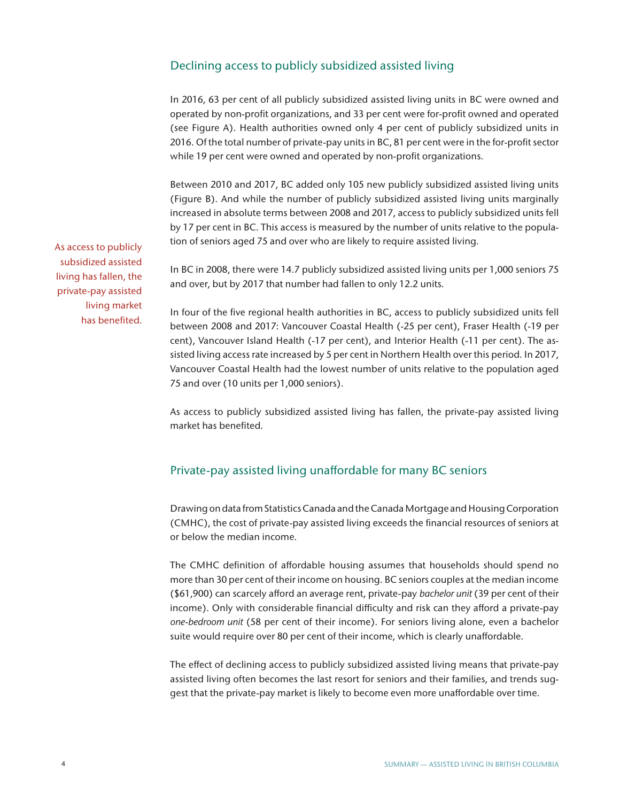## Declining access to publicly subsidized assisted living

In 2016, 63 per cent of all publicly subsidized assisted living units in BC were owned and operated by non-profit organizations, and 33 per cent were for-profit owned and operated (see Figure A). Health authorities owned only 4 per cent of publicly subsidized units in 2016. Of the total number of private-pay units in BC, 81 per cent were in the for-profit sector while 19 per cent were owned and operated by non-profit organizations.

Between 2010 and 2017, BC added only 105 new publicly subsidized assisted living units (Figure B). And while the number of publicly subsidized assisted living units marginally increased in absolute terms between 2008 and 2017, access to publicly subsidized units fell by 17 per cent in BC. This access is measured by the number of units relative to the population of seniors aged 75 and over who are likely to require assisted living.

In BC in 2008, there were 14.7 publicly subsidized assisted living units per 1,000 seniors 75 and over, but by 2017 that number had fallen to only 12.2 units.

In four of the five regional health authorities in BC, access to publicly subsidized units fell between 2008 and 2017: Vancouver Coastal Health (-25 per cent), Fraser Health (-19 per cent), Vancouver Island Health (-17 per cent), and Interior Health (-11 per cent). The assisted living access rate increased by 5 per cent in Northern Health over this period. In 2017, Vancouver Coastal Health had the lowest number of units relative to the population aged 75 and over (10 units per 1,000 seniors).

As access to publicly subsidized assisted living has fallen, the private-pay assisted living market has benefited.

## Private-pay assisted living unaffordable for many BC seniors

Drawing on data from Statistics Canada and the Canada Mortgage and Housing Corporation (CMHC), the cost of private-pay assisted living exceeds the financial resources of seniors at or below the median income.

The CMHC definition of affordable housing assumes that households should spend no more than 30 per cent of their income on housing. BC seniors couples at the median income (\$61,900) can scarcely afford an average rent, private-pay *bachelor unit* (39 per cent of their income). Only with considerable financial difficulty and risk can they afford a private-pay *one-bedroom unit* (58 per cent of their income). For seniors living alone, even a bachelor suite would require over 80 per cent of their income, which is clearly unaffordable.

The effect of declining access to publicly subsidized assisted living means that private-pay assisted living often becomes the last resort for seniors and their families, and trends suggest that the private-pay market is likely to become even more unaffordable over time.

As access to publicly subsidized assisted living has fallen, the private-pay assisted living market has benefited.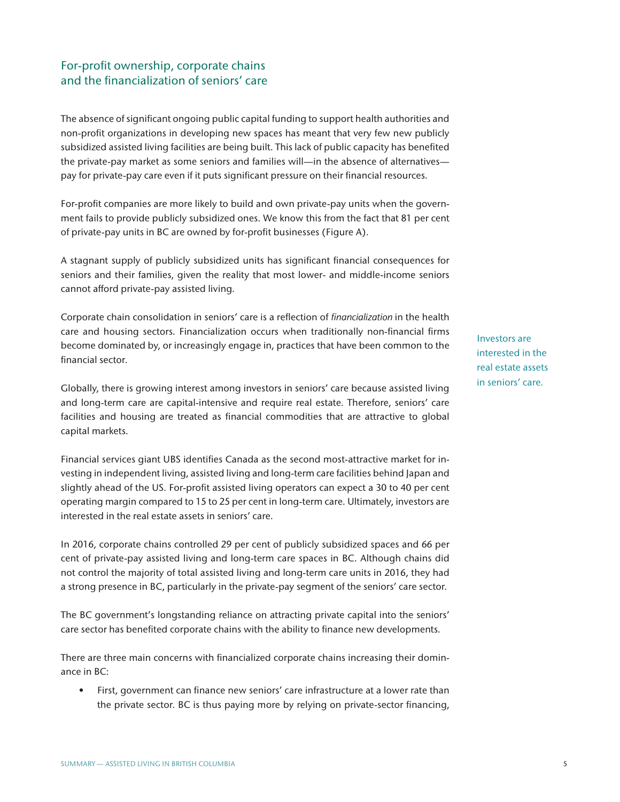# For-profit ownership, corporate chains and the financialization of seniors' care

The absence of significant ongoing public capital funding to support health authorities and non-profit organizations in developing new spaces has meant that very few new publicly subsidized assisted living facilities are being built. This lack of public capacity has benefited the private-pay market as some seniors and families will—in the absence of alternatives pay for private-pay care even if it puts significant pressure on their financial resources.

For-profit companies are more likely to build and own private-pay units when the government fails to provide publicly subsidized ones. We know this from the fact that 81 per cent of private-pay units in BC are owned by for-profit businesses (Figure A).

A stagnant supply of publicly subsidized units has significant financial consequences for seniors and their families, given the reality that most lower- and middle-income seniors cannot afford private-pay assisted living.

Corporate chain consolidation in seniors' care is a reflection of *financialization* in the health care and housing sectors. Financialization occurs when traditionally non-financial firms become dominated by, or increasingly engage in, practices that have been common to the financial sector.

Globally, there is growing interest among investors in seniors' care because assisted living and long-term care are capital-intensive and require real estate. Therefore, seniors' care facilities and housing are treated as financial commodities that are attractive to global capital markets.

Financial services giant UBS identifies Canada as the second most-attractive market for investing in independent living, assisted living and long-term care facilities behind Japan and slightly ahead of the US. For-profit assisted living operators can expect a 30 to 40 per cent operating margin compared to 15 to 25 per cent in long-term care. Ultimately, investors are interested in the real estate assets in seniors' care.

In 2016, corporate chains controlled 29 per cent of publicly subsidized spaces and 66 per cent of private-pay assisted living and long-term care spaces in BC. Although chains did not control the majority of total assisted living and long-term care units in 2016, they had a strong presence in BC, particularly in the private-pay segment of the seniors' care sector.

The BC government's longstanding reliance on attracting private capital into the seniors' care sector has benefited corporate chains with the ability to finance new developments.

There are three main concerns with financialized corporate chains increasing their dominance in BC:

• First, government can finance new seniors' care infrastructure at a lower rate than the private sector. BC is thus paying more by relying on private-sector financing,

Investors are interested in the real estate assets in seniors' care.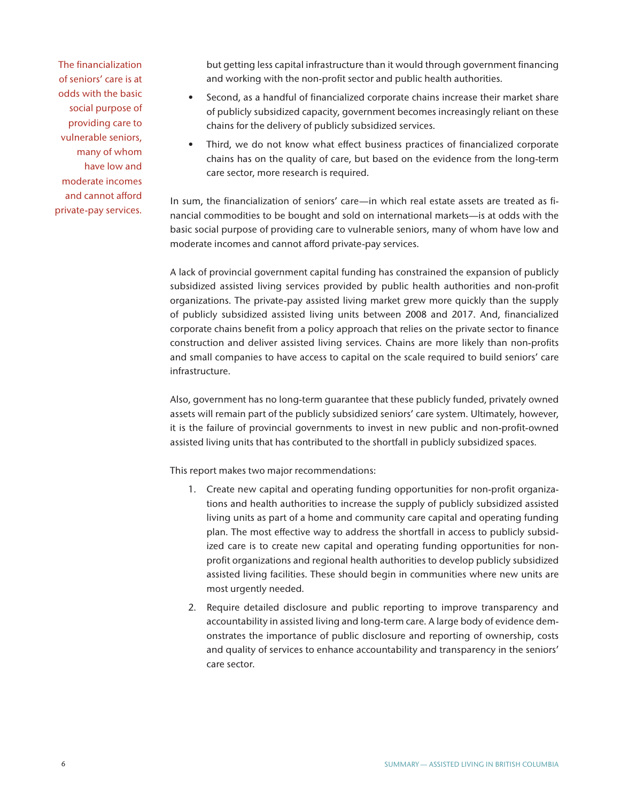The financialization of seniors' care is at odds with the basic social purpose of providing care to vulnerable seniors, many of whom have low and moderate incomes and cannot afford private-pay services. but getting less capital infrastructure than it would through government financing and working with the non-profit sector and public health authorities.

- Second, as a handful of financialized corporate chains increase their market share of publicly subsidized capacity, government becomes increasingly reliant on these chains for the delivery of publicly subsidized services.
- Third, we do not know what effect business practices of financialized corporate chains has on the quality of care, but based on the evidence from the long-term care sector, more research is required.

In sum, the financialization of seniors' care—in which real estate assets are treated as financial commodities to be bought and sold on international markets—is at odds with the basic social purpose of providing care to vulnerable seniors, many of whom have low and moderate incomes and cannot afford private-pay services.

A lack of provincial government capital funding has constrained the expansion of publicly subsidized assisted living services provided by public health authorities and non-profit organizations. The private-pay assisted living market grew more quickly than the supply of publicly subsidized assisted living units between 2008 and 2017. And, financialized corporate chains benefit from a policy approach that relies on the private sector to finance construction and deliver assisted living services. Chains are more likely than non-profits and small companies to have access to capital on the scale required to build seniors' care infrastructure.

Also, government has no long-term guarantee that these publicly funded, privately owned assets will remain part of the publicly subsidized seniors' care system. Ultimately, however, it is the failure of provincial governments to invest in new public and non-profit-owned assisted living units that has contributed to the shortfall in publicly subsidized spaces.

This report makes two major recommendations:

- 1. Create new capital and operating funding opportunities for non-profit organizations and health authorities to increase the supply of publicly subsidized assisted living units as part of a home and community care capital and operating funding plan. The most effective way to address the shortfall in access to publicly subsidized care is to create new capital and operating funding opportunities for nonprofit organizations and regional health authorities to develop publicly subsidized assisted living facilities. These should begin in communities where new units are most urgently needed.
- 2. Require detailed disclosure and public reporting to improve transparency and accountability in assisted living and long-term care. A large body of evidence demonstrates the importance of public disclosure and reporting of ownership, costs and quality of services to enhance accountability and transparency in the seniors' care sector.